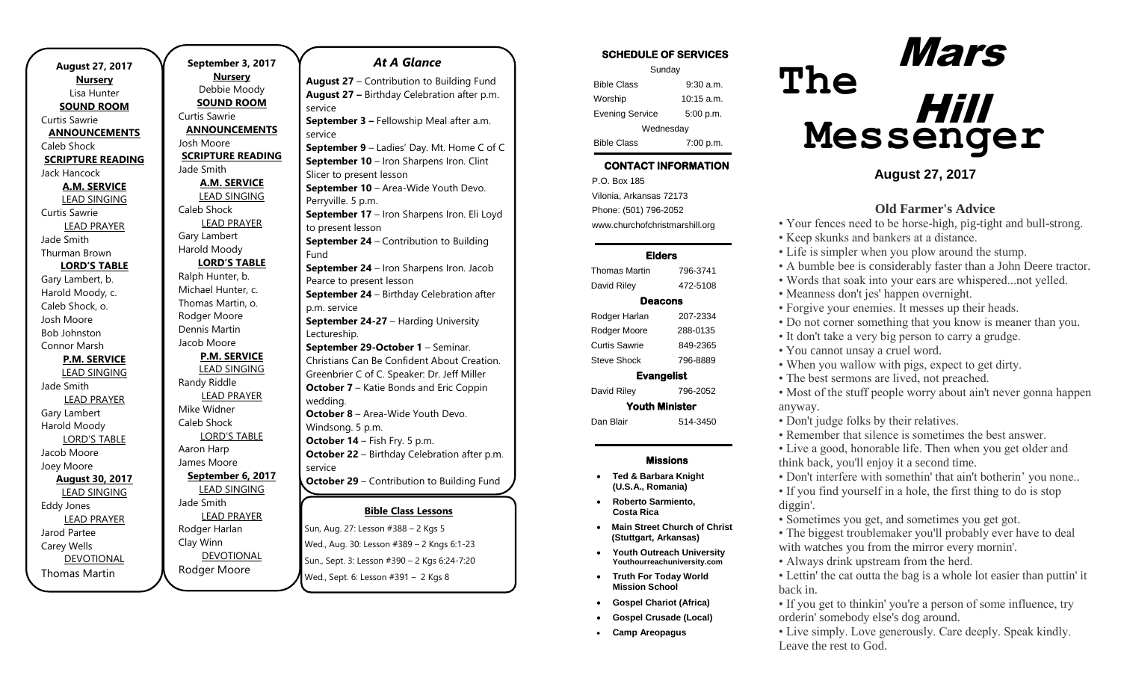**August 27, 2017 Nursery** Lisa Hunter **SOUND ROOM** Curtis Sawrie **ANNOUNCEMENTS** Caleb Shock **SCRIPTURE READING** Jack Hancock **A.M. SERVICE** LEAD SINGING Curtis Sawrie LEAD PRAYER Jade Smith Thurman Brown **LORD'S TABLE** Gary Lambert, b. Harold Moody, c. Caleb Shock, o. Josh Moore Bob Johnston Connor Marsh **P.M. SERVICE** LEAD SINGING Jade Smith LEAD PRAYER Gary Lambert Harold Moody LORD'S TABLE Jacob Moore Joey Moore **August 30, 2017** LEAD SINGING Eddy Jones LEAD PRAYER Jarod Partee Carey Wells DEVOTIONAL Thomas Martin

.

**September 3, 2017 Nursery** Debbie Moody **SOUND ROOM** Curtis Sawrie **ANNOUNCEMENTS** Josh Moore **SCRIPTURE READING** Jade Smith **A.M. SERVICE** LEAD SINGING Caleb Shock LEAD PRAYER Gary Lambert Harold Moody **LORD'S TABLE** Ralph Hunter, b. Michael Hunter, c. Thomas Martin, o. Rodger Moore Dennis Martin Jacob Moore **P.M. SERVICE** LEAD SINGING Randy Riddle LEAD PRAYER Mike Widner Caleb Shock LORD'S TABLE Aaron Harp James Moore **September 6, 2017** LEAD SINGING Jade Smith LEAD PRAYER Rodger Harlan Clay Winn DEVOTIONAL Rodger Moore

### *At A Glance*

**August 27** – Contribution to Building Fund **August 27 –** Birthday Celebration after p.m. service **September 3 –** Fellowship Meal after a.m. service

**September 9** – Ladies' Day. Mt. Home C of C **September 10** – Iron Sharpens Iron. Clint Slicer to present lesson **September 10** – Area-Wide Youth Devo. Perryville. 5 p.m. **September 17** – Iron Sharpens Iron. Eli Loyd to present lesson **September 24** – Contribution to Building Fund **September 24** – Iron Sharpens Iron. Jacob Pearce to present lesson

**September 24** – Birthday Celebration after p.m. service **September 24-27** – Harding University

Lectureship.

**September 29-October 1** – Seminar. Christians Can Be Confident About Creation. Greenbrier C of C. Speaker: Dr. Jeff Miller **October 7** – Katie Bonds and Eric Coppin wedding. **October 8** – Area-Wide Youth Devo. Windsong. 5 p.m. **October 14** – Fish Fry. 5 p.m. **October 22** – Birthday Celebration after p.m.

service **October 29** – Contribution to Building Fund

### **Bible Class Lessons October 29** – Potluck Meal after A.M. service

Sun, Aug. 27: Lesson #388 – 2 Kgs 5 6 p.m. Wed., Aug. 30: Lesson #389 – 2 Kngs 6:1-23 Sun., Sept. 3: Lesson #390 - 2 Kgs 6:24-7:20 Wed., Sept. 6: Lesson #391 - 2 Kgs 8 **November 26** – Contribution to Building

**December 31** – Contribution to Building

### SCHEDULE OF SERVICES

| Sunday                 |              |  |
|------------------------|--------------|--|
| <b>Bible Class</b>     | $9:30$ a.m.  |  |
| Worship                | $10:15$ a.m. |  |
| <b>Evening Service</b> | 5:00 p.m.    |  |
| Wednesday              |              |  |
| <b>Bible Class</b>     | 7:00 p.m.    |  |

#### Tuesday CONTACT INFORMATION

. .o. Box 166<br>Vilonia, Arkansas 72173 P.O. Box 185 Phone: (501) 796-2052 www.churchofchristmarshill.org

### Elders

| <b>Thomas Martin</b>  | 796-3741 |  |
|-----------------------|----------|--|
| David Riley           | 472-5108 |  |
| Deacons               |          |  |
| Rodger Harlan         | 207-2334 |  |
| Rodger Moore          | 288-0135 |  |
| Curtis Sawrie         | 849-2365 |  |
| <b>Steve Shock</b>    | 796-8889 |  |
| <b>Evangelist</b>     |          |  |
| David Riley           | 796-2052 |  |
| <b>Youth Minister</b> |          |  |
| Dan Blair             | 514-3450 |  |

### Missions

- **Ted & Barbara Knight (U.S.A., Romania)**
- **Roberto Sarmiento, Costa Rica**
- **Main Street Church of Christ (Stuttgart, Arkansas)**
- **Youth Outreach University Youthourreachuniversity.com**
- **Truth For Today World Mission School**
- **Gospel Chariot (Africa)**
- **Gospel Crusade (Local)**
- **Camp Areopagus**

# **The Messenger** Mars Hill

### **August 27, 2017**

### **Old Farmer's Advice**

- Your fences need to be horse-high, pig-tight and bull-strong.
- Keep skunks and bankers at a distance.
- Life is simpler when you plow around the stump.
- A bumble bee is considerably faster than a John Deere tractor.
- Words that soak into your ears are whispered...not yelled.
- Meanness don't jes' happen overnight.
- Forgive your enemies. It messes up their heads.
- Do not corner something that you know is meaner than you.
- It don't take a very big person to carry a grudge.
- You cannot unsay a cruel word.
- When you wallow with pigs, expect to get dirty.
- The best sermons are lived, not preached.
- Most of the stuff people worry about ain't never gonna happen anyway.
- Don't judge folks by their relatives.
- Remember that silence is sometimes the best answer.

• Live a good, honorable life. Then when you get older and think back, you'll enjoy it a second time.

• Don't interfere with somethin' that ain't botherin' you none..

• If you find yourself in a hole, the first thing to do is stop diggin'.

- Sometimes you get, and sometimes you get got.
- The biggest troublemaker you'll probably ever have to deal with watches you from the mirror every mornin'.
- Always drink upstream from the herd.
- Lettin' the cat outta the bag is a whole lot easier than puttin' it back in.
- If you get to thinkin' you're a person of some influence, try orderin' somebody else's dog around.
- Live simply. Love generously. Care deeply. Speak kindly. Leave the rest to God.